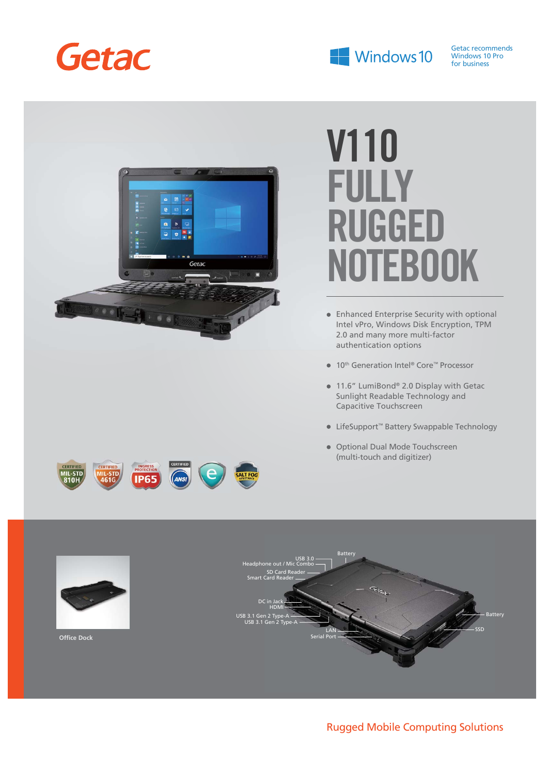



Getac recommends Windows 10 Pro for business



# **V110 FULLY RUGGED NOTEBOOK**

- Enhanced Enterprise Security with optional Intel vPro, Windows Disk Encryption, TPM 2.0 and many more multi-factor authentication options
- 10<sup>th</sup> Generation Intel® Core™ Processor
- 11.6" LumiBond® 2.0 Display with Getac Sunlight Readable Technology and Capacitive Touchscreen
- LifeSupport™ Battery Swappable Technology
- Optional Dual Mode Touchscreen (multi-touch and digitizer)



### Rugged Mobile Computing Solutions